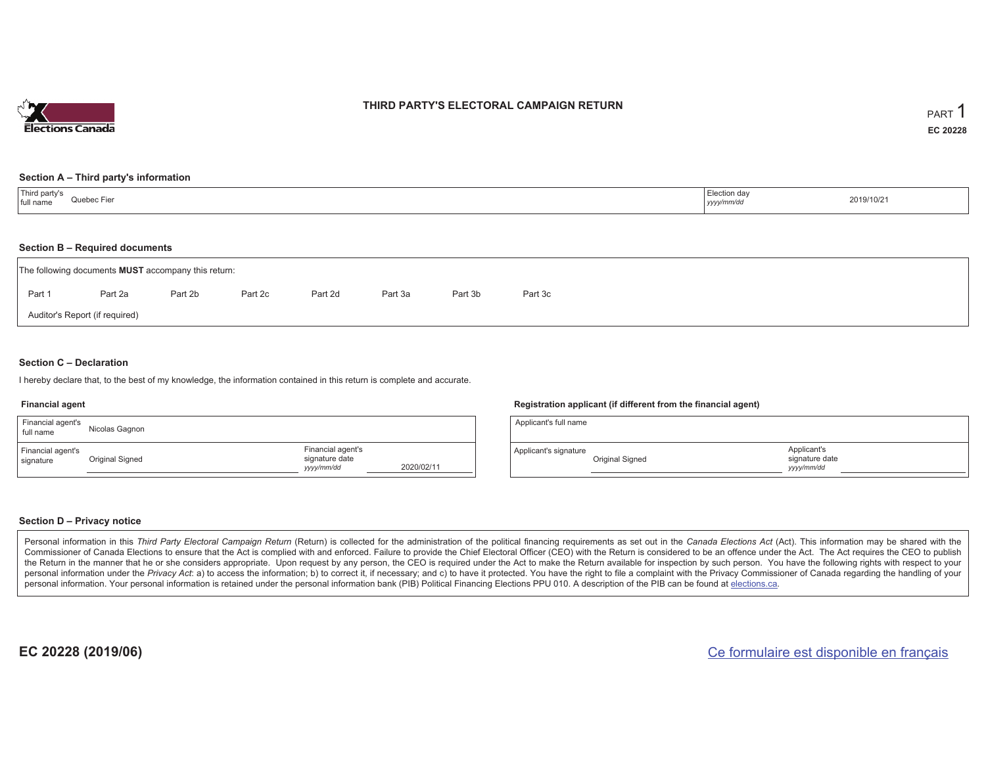

#### **THIRD PARTY'S ELECTORAL CAMPAIGN RETURN**

#### **Section A – Third party's information**

| Third party's<br>full name<br>Quebec Fier | Election day<br>2019/10/21<br>yyyy/mm/dd |
|-------------------------------------------|------------------------------------------|
|-------------------------------------------|------------------------------------------|

#### **Section B – Required documents**

|                                | The following documents <b>MUST</b> accompany this return: |         |         |         |         |         |         |  |  |  |
|--------------------------------|------------------------------------------------------------|---------|---------|---------|---------|---------|---------|--|--|--|
| Part 1                         | Part 2a                                                    | Part 2b | Part 2c | Part 2d | Part 3a | Part 3b | Part 3c |  |  |  |
| Auditor's Report (if required) |                                                            |         |         |         |         |         |         |  |  |  |

#### **Section C – Declaration**

I hereby declare that, to the best of my knowledge, the information contained in this return is complete and accurate.

#### **Financial agent**

| Financial agent's<br>full name | Nicolas Gagnon  |                                                   |            |
|--------------------------------|-----------------|---------------------------------------------------|------------|
| Financial agent's<br>signature | Original Signed | Financial agent's<br>signature date<br>yyyy/mm/dd | 2020/02/11 |

#### **Registration applicant (if different from the financial agent)**

| Applicant's full name |                 |                                             |  |
|-----------------------|-----------------|---------------------------------------------|--|
| Applicant's signature | Original Signed | Applicant's<br>signature date<br>vyyy/mm/dd |  |

#### **Section D – Privacy notice**

Personal information in this Third Party Electoral Campaign Return (Return) is collected for the administration of the political financing requirements as set out in the Canada Elections Act (Act). This information may be Commissioner of Canada Elections to ensure that the Act is complied with and enforced. Failure to provide the Chief Electoral Officer (CEO) with the Return is considered to be an offence under the Act. The Act requires the the Return in the manner that he or she considers appropriate. Upon request by any person, the CEO is required under the Act to make the Return available for inspection by such person. You have the following rights with re personal information under the Privacy Act: a) to access the information; b) to correct it, if necessary; and c) to have it protected. You have the right to file a complaint with the Privacy Commissioner of Canada regardin personal information. Your personal information is retained under the personal information bank (PIB) Political Financing Elections PPU 010. A description of the PIB can be found at elections.ca.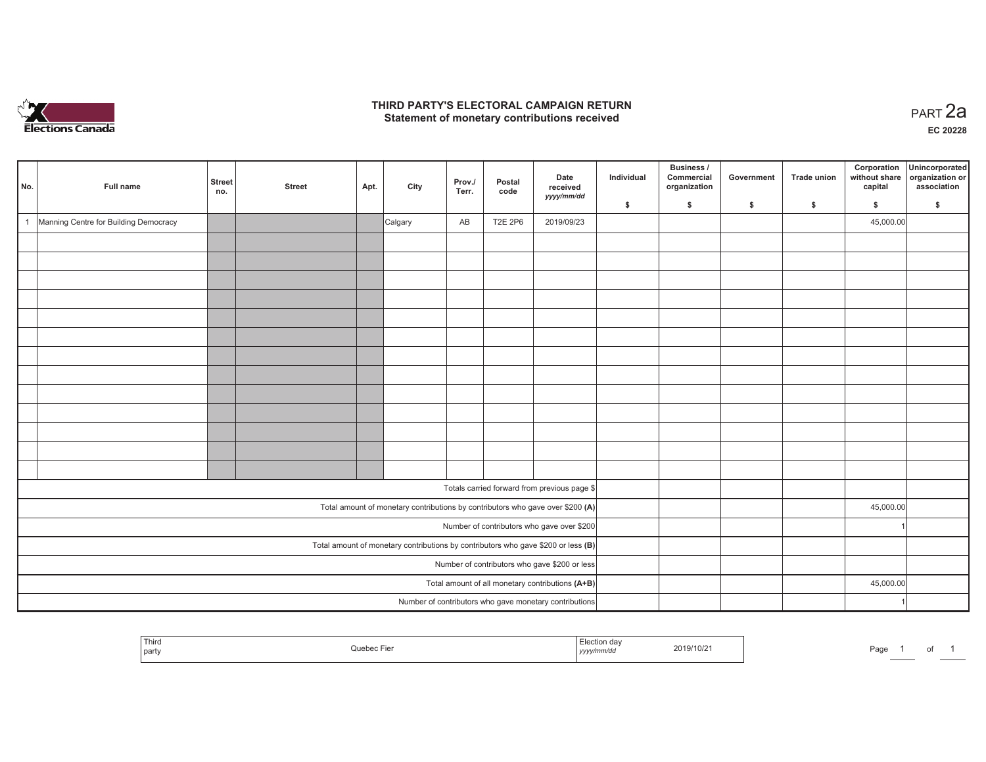

#### **THIRD PARTY'S ELECTORAL CAMPAIGN RETURN HIRD PARTY'S ELECTORAL CAMPAIGN RETURN<br>Statement of monetary contributions received PART 2a**

**EC 20228**

| No.                                                                                 | Full name                                     | Street<br>no. | <b>Street</b> | Apt. | City    | Prov./<br>Terr. | Postal<br>code | Date<br>received<br>yyyy/mm/dd                                                 | Individual | Business /<br>Commercial<br>organization | Government | Trade union  | Corporation<br>without share<br>capital | Unincorporated<br>organization or<br>association |  |  |  |
|-------------------------------------------------------------------------------------|-----------------------------------------------|---------------|---------------|------|---------|-----------------|----------------|--------------------------------------------------------------------------------|------------|------------------------------------------|------------|--------------|-----------------------------------------|--------------------------------------------------|--|--|--|
|                                                                                     |                                               |               |               |      |         |                 |                |                                                                                | \$         | \$                                       | \$         | $\mathsf{s}$ | \$                                      | \$                                               |  |  |  |
| $\overline{1}$                                                                      | Manning Centre for Building Democracy         |               |               |      | Calgary | AB              | <b>T2E 2P6</b> | 2019/09/23                                                                     |            |                                          |            |              | 45,000.00                               |                                                  |  |  |  |
|                                                                                     |                                               |               |               |      |         |                 |                |                                                                                |            |                                          |            |              |                                         |                                                  |  |  |  |
|                                                                                     |                                               |               |               |      |         |                 |                |                                                                                |            |                                          |            |              |                                         |                                                  |  |  |  |
|                                                                                     |                                               |               |               |      |         |                 |                |                                                                                |            |                                          |            |              |                                         |                                                  |  |  |  |
|                                                                                     |                                               |               |               |      |         |                 |                |                                                                                |            |                                          |            |              |                                         |                                                  |  |  |  |
|                                                                                     |                                               |               |               |      |         |                 |                |                                                                                |            |                                          |            |              |                                         |                                                  |  |  |  |
|                                                                                     |                                               |               |               |      |         |                 |                |                                                                                |            |                                          |            |              |                                         |                                                  |  |  |  |
|                                                                                     |                                               |               |               |      |         |                 |                |                                                                                |            |                                          |            |              |                                         |                                                  |  |  |  |
|                                                                                     |                                               |               |               |      |         |                 |                |                                                                                |            |                                          |            |              |                                         |                                                  |  |  |  |
|                                                                                     |                                               |               |               |      |         |                 |                |                                                                                |            |                                          |            |              |                                         |                                                  |  |  |  |
|                                                                                     |                                               |               |               |      |         |                 |                |                                                                                |            |                                          |            |              |                                         |                                                  |  |  |  |
|                                                                                     |                                               |               |               |      |         |                 |                |                                                                                |            |                                          |            |              |                                         |                                                  |  |  |  |
|                                                                                     |                                               |               |               |      |         |                 |                |                                                                                |            |                                          |            |              |                                         |                                                  |  |  |  |
|                                                                                     |                                               |               |               |      |         |                 |                |                                                                                |            |                                          |            |              |                                         |                                                  |  |  |  |
|                                                                                     |                                               |               |               |      |         |                 |                |                                                                                |            |                                          |            |              |                                         |                                                  |  |  |  |
|                                                                                     |                                               |               |               |      |         |                 |                | Totals carried forward from previous page \$                                   |            |                                          |            |              |                                         |                                                  |  |  |  |
|                                                                                     |                                               |               |               |      |         |                 |                | Total amount of monetary contributions by contributors who gave over \$200 (A) |            |                                          |            |              | 45,000.00                               |                                                  |  |  |  |
| Number of contributors who gave over \$200                                          |                                               |               |               |      |         |                 |                |                                                                                |            |                                          |            |              |                                         |                                                  |  |  |  |
| Total amount of monetary contributions by contributors who gave \$200 or less $(B)$ |                                               |               |               |      |         |                 |                |                                                                                |            |                                          |            |              |                                         |                                                  |  |  |  |
|                                                                                     | Number of contributors who gave \$200 or less |               |               |      |         |                 |                |                                                                                |            |                                          |            |              |                                         |                                                  |  |  |  |
| Total amount of all monetary contributions (A+B)                                    |                                               |               |               |      |         |                 |                |                                                                                |            |                                          |            |              | 45,000.00                               |                                                  |  |  |  |
|                                                                                     |                                               |               |               |      |         |                 |                | Number of contributors who gave monetary contributions                         |            |                                          |            |              |                                         |                                                  |  |  |  |

|  | <b>Contractor Contractor</b><br>$\overline{\phantom{m}}$<br>Third<br>party |  | ,,,,, | 2019/10/2 | ʻdu |  | וש |  |
|--|----------------------------------------------------------------------------|--|-------|-----------|-----|--|----|--|
|--|----------------------------------------------------------------------------|--|-------|-----------|-----|--|----|--|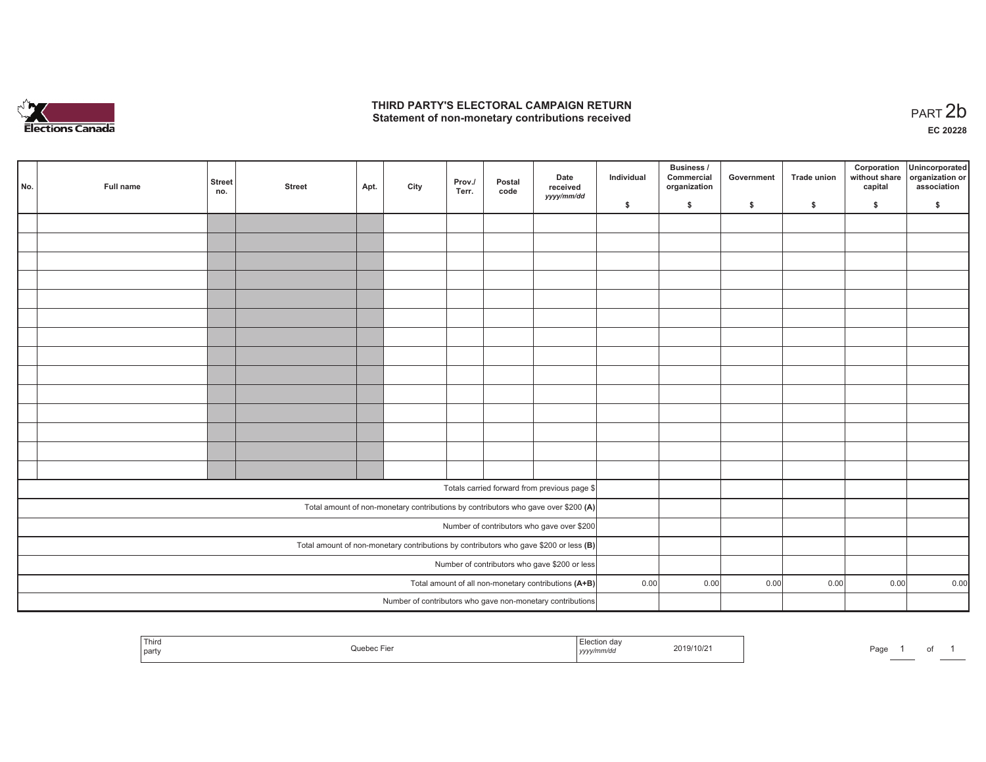

#### **THIRD PARTY'S ELECTORAL CAMPAIGN RETURN**  THIRD PARTY'S ELECTORAL CAMPAIGN RETURN<br>Statement of non-monetary contributions received<br> **PART 2b**

|                                                                                         | No. | Full name | <b>Street</b><br>no. | <b>Street</b> | Apt. | City | Prov./<br>Terr. | Postal<br>code | Date<br>received<br>yyyy/mm/dd                                                     | Individual | <b>Business /</b><br>Commercial<br>organization | Government | Trade union | Corporation<br>capital | Unincorporated<br>without share organization or<br>association |
|-----------------------------------------------------------------------------------------|-----|-----------|----------------------|---------------|------|------|-----------------|----------------|------------------------------------------------------------------------------------|------------|-------------------------------------------------|------------|-------------|------------------------|----------------------------------------------------------------|
|                                                                                         |     |           |                      |               |      |      |                 |                |                                                                                    | \$         | \$                                              | \$         | \$          | \$                     | \$                                                             |
|                                                                                         |     |           |                      |               |      |      |                 |                |                                                                                    |            |                                                 |            |             |                        |                                                                |
|                                                                                         |     |           |                      |               |      |      |                 |                |                                                                                    |            |                                                 |            |             |                        |                                                                |
|                                                                                         |     |           |                      |               |      |      |                 |                |                                                                                    |            |                                                 |            |             |                        |                                                                |
|                                                                                         |     |           |                      |               |      |      |                 |                |                                                                                    |            |                                                 |            |             |                        |                                                                |
|                                                                                         |     |           |                      |               |      |      |                 |                |                                                                                    |            |                                                 |            |             |                        |                                                                |
|                                                                                         |     |           |                      |               |      |      |                 |                |                                                                                    |            |                                                 |            |             |                        |                                                                |
|                                                                                         |     |           |                      |               |      |      |                 |                |                                                                                    |            |                                                 |            |             |                        |                                                                |
|                                                                                         |     |           |                      |               |      |      |                 |                |                                                                                    |            |                                                 |            |             |                        |                                                                |
|                                                                                         |     |           |                      |               |      |      |                 |                |                                                                                    |            |                                                 |            |             |                        |                                                                |
|                                                                                         |     |           |                      |               |      |      |                 |                |                                                                                    |            |                                                 |            |             |                        |                                                                |
|                                                                                         |     |           |                      |               |      |      |                 |                |                                                                                    |            |                                                 |            |             |                        |                                                                |
|                                                                                         |     |           |                      |               |      |      |                 |                |                                                                                    |            |                                                 |            |             |                        |                                                                |
|                                                                                         |     |           |                      |               |      |      |                 |                |                                                                                    |            |                                                 |            |             |                        |                                                                |
|                                                                                         |     |           |                      |               |      |      |                 |                |                                                                                    |            |                                                 |            |             |                        |                                                                |
|                                                                                         |     |           |                      |               |      |      |                 |                |                                                                                    |            |                                                 |            |             |                        |                                                                |
|                                                                                         |     |           |                      |               |      |      |                 |                | Totals carried forward from previous page \$                                       |            |                                                 |            |             |                        |                                                                |
|                                                                                         |     |           |                      |               |      |      |                 |                | Total amount of non-monetary contributions by contributors who gave over \$200 (A) |            |                                                 |            |             |                        |                                                                |
|                                                                                         |     |           |                      |               |      |      |                 |                | Number of contributors who gave over \$200                                         |            |                                                 |            |             |                        |                                                                |
| Total amount of non-monetary contributions by contributors who gave \$200 or less $(B)$ |     |           |                      |               |      |      |                 |                |                                                                                    |            |                                                 |            |             |                        |                                                                |
| Number of contributors who gave \$200 or less                                           |     |           |                      |               |      |      |                 |                |                                                                                    |            |                                                 |            |             |                        |                                                                |
| Total amount of all non-monetary contributions (A+B)                                    |     |           |                      |               |      |      |                 |                | 0.00                                                                               | 0.00       | 0.00                                            | 0.00       | 0.00        | 0.00                   |                                                                |
|                                                                                         |     |           |                      |               |      |      |                 |                | Number of contributors who gave non-monetary contributions                         |            |                                                 |            |             |                        |                                                                |

| <sup>∣</sup> Thirս<br>enec Liei<br>.JUE<br>`part | ╶╹┍╺╄<br>Election da∨<br>2019/10/2<br>.<br>yyyy/mm/aa | Page |
|--------------------------------------------------|-------------------------------------------------------|------|
|--------------------------------------------------|-------------------------------------------------------|------|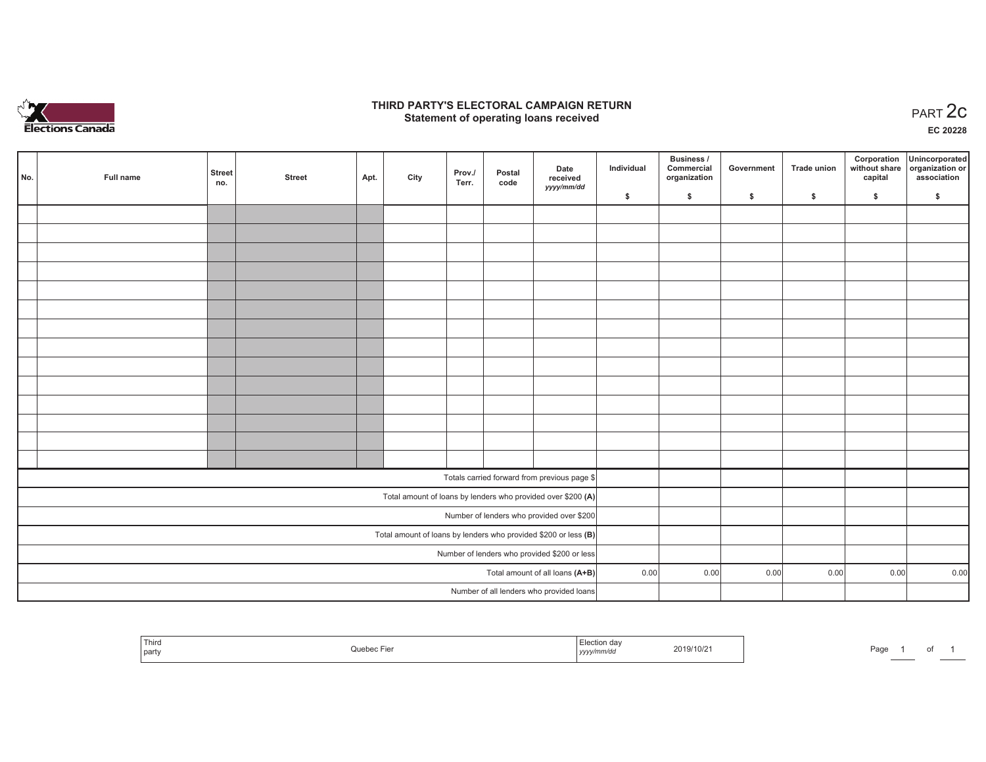

#### **THIRD PARTY'S ELECTORAL CAMPAIGN RETURN STATE:** PERSON SELECTORAL CAMPAIGN RETURN<br>
Statement of operating loans received

**EC 20228**

|                                                                 | No. | Full name | <b>Street</b><br>no. | <b>Street</b> | Apt. | City | Prov./<br>Terr. | Postal<br>code | Date<br>received                                             | Individual | Business /<br>Commercial<br>organization | Government | Trade union | Corporation<br>capital | Unincorporated<br>without share organization or<br>association |
|-----------------------------------------------------------------|-----|-----------|----------------------|---------------|------|------|-----------------|----------------|--------------------------------------------------------------|------------|------------------------------------------|------------|-------------|------------------------|----------------------------------------------------------------|
|                                                                 |     |           |                      |               |      |      |                 |                | yyyy/mm/dd                                                   | \$         | \$                                       | \$         | \$          | \$                     | \$                                                             |
|                                                                 |     |           |                      |               |      |      |                 |                |                                                              |            |                                          |            |             |                        |                                                                |
|                                                                 |     |           |                      |               |      |      |                 |                |                                                              |            |                                          |            |             |                        |                                                                |
|                                                                 |     |           |                      |               |      |      |                 |                |                                                              |            |                                          |            |             |                        |                                                                |
|                                                                 |     |           |                      |               |      |      |                 |                |                                                              |            |                                          |            |             |                        |                                                                |
|                                                                 |     |           |                      |               |      |      |                 |                |                                                              |            |                                          |            |             |                        |                                                                |
|                                                                 |     |           |                      |               |      |      |                 |                |                                                              |            |                                          |            |             |                        |                                                                |
|                                                                 |     |           |                      |               |      |      |                 |                |                                                              |            |                                          |            |             |                        |                                                                |
|                                                                 |     |           |                      |               |      |      |                 |                |                                                              |            |                                          |            |             |                        |                                                                |
|                                                                 |     |           |                      |               |      |      |                 |                |                                                              |            |                                          |            |             |                        |                                                                |
|                                                                 |     |           |                      |               |      |      |                 |                |                                                              |            |                                          |            |             |                        |                                                                |
|                                                                 |     |           |                      |               |      |      |                 |                |                                                              |            |                                          |            |             |                        |                                                                |
|                                                                 |     |           |                      |               |      |      |                 |                |                                                              |            |                                          |            |             |                        |                                                                |
|                                                                 |     |           |                      |               |      |      |                 |                |                                                              |            |                                          |            |             |                        |                                                                |
|                                                                 |     |           |                      |               |      |      |                 |                |                                                              |            |                                          |            |             |                        |                                                                |
|                                                                 |     |           |                      |               |      |      |                 |                | Totals carried forward from previous page \$                 |            |                                          |            |             |                        |                                                                |
|                                                                 |     |           |                      |               |      |      |                 |                | Total amount of loans by lenders who provided over \$200 (A) |            |                                          |            |             |                        |                                                                |
|                                                                 |     |           |                      |               |      |      |                 |                | Number of lenders who provided over \$200                    |            |                                          |            |             |                        |                                                                |
| Total amount of loans by lenders who provided \$200 or less (B) |     |           |                      |               |      |      |                 |                |                                                              |            |                                          |            |             |                        |                                                                |
| Number of lenders who provided \$200 or less                    |     |           |                      |               |      |      |                 |                |                                                              |            |                                          |            |             |                        |                                                                |
| Total amount of all loans (A+B)                                 |     |           |                      |               |      |      |                 |                |                                                              | 0.00       | 0.00                                     | 0.00       | 0.00        | 0.00                   | 0.00                                                           |
|                                                                 |     |           |                      |               |      |      |                 |                | Number of all lenders who provided loans                     |            |                                          |            |             |                        |                                                                |

|  | ' Third<br>party | Quebec Fier | امط<br><i>∈</i> lection dav<br>$\sim$<br>yyyy/mm/dd | 2019/10/21 | Page |  |  |
|--|------------------|-------------|-----------------------------------------------------|------------|------|--|--|
|--|------------------|-------------|-----------------------------------------------------|------------|------|--|--|

Page 1 of 1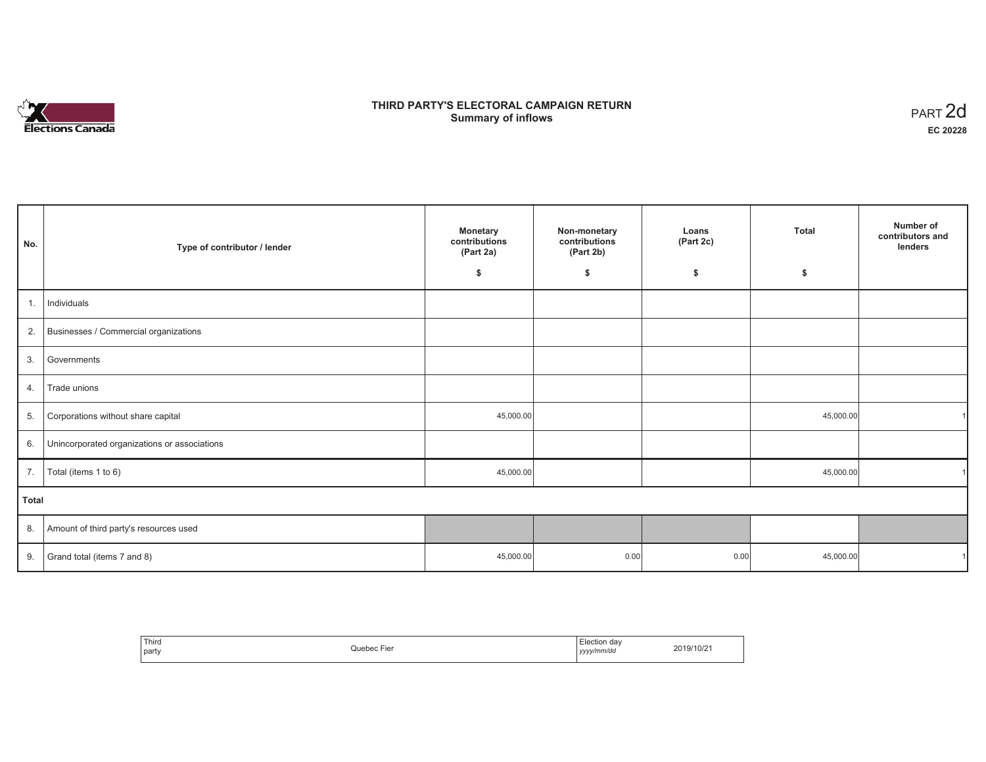# **Elections Canada**

## **THIRD PARTY'S ELECTORAL CAMPAIGN RETURN Summary of inflows**

| PART <sub>2d</sub> |
|--------------------|
| EC 20228           |

| No.          | Type of contributor / lender                 | <b>Monetary</b><br>contributions<br>(Part 2a) | Non-monetary<br>contributions<br>(Part 2b) | Loans<br>(Part 2c) | <b>Total</b> | Number of<br>contributors and<br>lenders |
|--------------|----------------------------------------------|-----------------------------------------------|--------------------------------------------|--------------------|--------------|------------------------------------------|
|              |                                              | \$                                            | \$                                         | \$                 | \$           |                                          |
| 1.           | Individuals                                  |                                               |                                            |                    |              |                                          |
| 2.           | Businesses / Commercial organizations        |                                               |                                            |                    |              |                                          |
| 3.           | Governments                                  |                                               |                                            |                    |              |                                          |
| 4.           | Trade unions                                 |                                               |                                            |                    |              |                                          |
| 5.           | Corporations without share capital           | 45,000.00                                     |                                            |                    | 45,000.00    |                                          |
| 6.           | Unincorporated organizations or associations |                                               |                                            |                    |              |                                          |
| 7.           | Total (items 1 to 6)                         | 45,000.00                                     |                                            |                    | 45,000.00    |                                          |
| <b>Total</b> |                                              |                                               |                                            |                    |              |                                          |
| 8.           | Amount of third party's resources used       |                                               |                                            |                    |              |                                          |
| 9.           | Grand total (items 7 and 8)                  | 45,000.00                                     | 0.00                                       | 0.00               | 45,000.00    |                                          |

| ' Third<br>party | Ouebec.<br>Ē | Election dav<br>vyyy/mm/da<br>,,,,, | 2019/10/2 |
|------------------|--------------|-------------------------------------|-----------|
|------------------|--------------|-------------------------------------|-----------|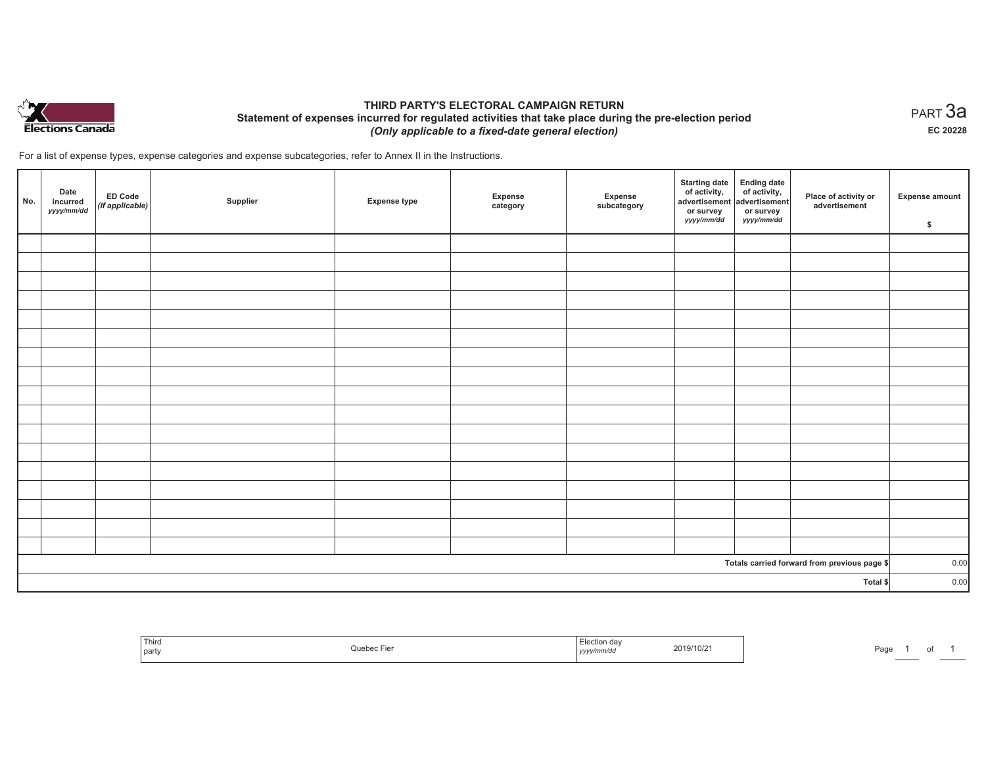

#### **THIRD PARTY'S ELECTORAL CAMPAIGN RETURN Statement of expenses incurred for regulated activities that take place during the pre-election period**  *(Only applicable to a fixed-date general election)*

For a list of expense types, expense categories and expense subcategories, refer to Annex II in the Instructions.

| No.      | Date<br>incurred<br>yyyy/mm/dd | <b>ED Code</b><br>(if applicable) | Supplier | <b>Expense type</b> | Expense<br>category | Expense<br>subcategory | <b>Starting date</b><br>of activity,<br>advertisement<br>or survey<br>yyyy/mm/dd | Ending date<br>of activity,<br>advertisement<br>or survey<br>yyyy/mm/dd | Place of activity or<br>advertisement        | Expense amount<br>\$ |
|----------|--------------------------------|-----------------------------------|----------|---------------------|---------------------|------------------------|----------------------------------------------------------------------------------|-------------------------------------------------------------------------|----------------------------------------------|----------------------|
|          |                                |                                   |          |                     |                     |                        |                                                                                  |                                                                         |                                              |                      |
|          |                                |                                   |          |                     |                     |                        |                                                                                  |                                                                         |                                              |                      |
|          |                                |                                   |          |                     |                     |                        |                                                                                  |                                                                         |                                              |                      |
|          |                                |                                   |          |                     |                     |                        |                                                                                  |                                                                         |                                              |                      |
|          |                                |                                   |          |                     |                     |                        |                                                                                  |                                                                         |                                              |                      |
|          |                                |                                   |          |                     |                     |                        |                                                                                  |                                                                         |                                              |                      |
|          |                                |                                   |          |                     |                     |                        |                                                                                  |                                                                         |                                              |                      |
|          |                                |                                   |          |                     |                     |                        |                                                                                  |                                                                         |                                              |                      |
|          |                                |                                   |          |                     |                     |                        |                                                                                  |                                                                         |                                              |                      |
|          |                                |                                   |          |                     |                     |                        |                                                                                  |                                                                         |                                              |                      |
|          |                                |                                   |          |                     |                     |                        |                                                                                  |                                                                         |                                              |                      |
|          |                                |                                   |          |                     |                     |                        |                                                                                  |                                                                         |                                              |                      |
|          |                                |                                   |          |                     |                     |                        |                                                                                  |                                                                         |                                              |                      |
|          |                                |                                   |          |                     |                     |                        |                                                                                  |                                                                         |                                              |                      |
|          |                                |                                   |          |                     |                     |                        |                                                                                  |                                                                         |                                              |                      |
|          |                                |                                   |          |                     |                     |                        |                                                                                  |                                                                         |                                              |                      |
|          |                                |                                   |          |                     |                     |                        |                                                                                  |                                                                         |                                              |                      |
|          |                                |                                   |          |                     |                     |                        |                                                                                  |                                                                         | Totals carried forward from previous page \$ | 0.00                 |
| Total \$ |                                |                                   |          |                     |                     |                        |                                                                                  |                                                                         | 0.00                                         |                      |

| Third<br>  party | . <u>. .</u><br>Quebec Fier | Election day<br>2019/10/21<br>.<br>yyyy/mm/dd | Paɑ |
|------------------|-----------------------------|-----------------------------------------------|-----|
|------------------|-----------------------------|-----------------------------------------------|-----|

 $_{\sf PART}$ 3a **EC 20228**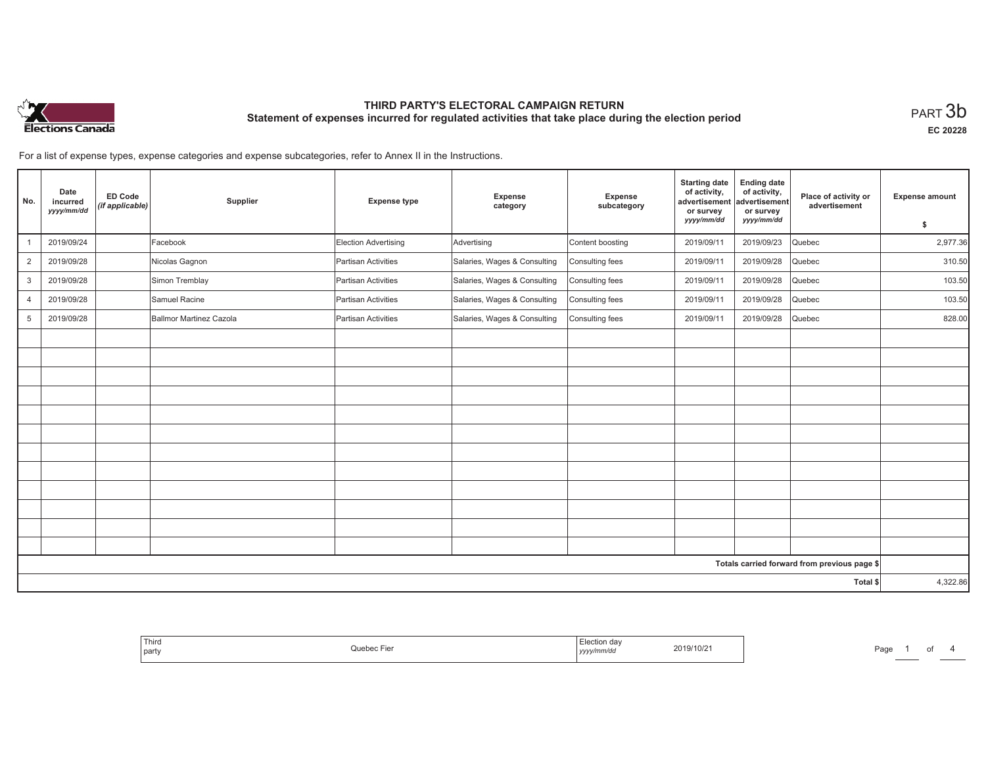

**EC 20228**

For a list of expense types, expense categories and expense subcategories, refer to Annex II in the Instructions.

| No.            | Date<br>incurred<br>yyyy/mm/dd | <b>ED Code</b><br>(if applicable) | Supplier                | <b>Expense type</b>  | Expense<br>category          | Expense<br>subcategory | <b>Starting date</b><br>of activity,<br>advertisement<br>or survey | <b>Ending date</b><br>of activity,<br>advertisement<br>or survey | Place of activity or<br>advertisement        | <b>Expense amount</b> |
|----------------|--------------------------------|-----------------------------------|-------------------------|----------------------|------------------------------|------------------------|--------------------------------------------------------------------|------------------------------------------------------------------|----------------------------------------------|-----------------------|
|                |                                |                                   |                         |                      |                              |                        | yyyy/mm/dd                                                         | yyyy/mm/dd                                                       |                                              | \$                    |
|                | 2019/09/24                     |                                   | Facebook                | Election Advertising | Advertising                  | Content boosting       | 2019/09/11                                                         | 2019/09/23                                                       | Quebec                                       | 2,977.36              |
| $\overline{2}$ | 2019/09/28                     |                                   | Nicolas Gagnon          | Partisan Activities  | Salaries, Wages & Consulting | Consulting fees        | 2019/09/11                                                         | 2019/09/28                                                       | Quebec                                       | 310.50                |
| 3              | 2019/09/28                     |                                   | Simon Tremblay          | Partisan Activities  | Salaries, Wages & Consulting | Consulting fees        | 2019/09/11                                                         | 2019/09/28                                                       | Quebec                                       | 103.50                |
| $\overline{4}$ | 2019/09/28                     |                                   | Samuel Racine           | Partisan Activities  | Salaries, Wages & Consulting | Consulting fees        | 2019/09/11                                                         | 2019/09/28                                                       | Quebec                                       | 103.50                |
| 5              | 2019/09/28                     |                                   | Ballmor Martinez Cazola | Partisan Activities  | Salaries, Wages & Consulting | Consulting fees        | 2019/09/11                                                         | 2019/09/28                                                       | Quebec                                       | 828.00                |
|                |                                |                                   |                         |                      |                              |                        |                                                                    |                                                                  |                                              |                       |
|                |                                |                                   |                         |                      |                              |                        |                                                                    |                                                                  |                                              |                       |
|                |                                |                                   |                         |                      |                              |                        |                                                                    |                                                                  |                                              |                       |
|                |                                |                                   |                         |                      |                              |                        |                                                                    |                                                                  |                                              |                       |
|                |                                |                                   |                         |                      |                              |                        |                                                                    |                                                                  |                                              |                       |
|                |                                |                                   |                         |                      |                              |                        |                                                                    |                                                                  |                                              |                       |
|                |                                |                                   |                         |                      |                              |                        |                                                                    |                                                                  |                                              |                       |
|                |                                |                                   |                         |                      |                              |                        |                                                                    |                                                                  |                                              |                       |
|                |                                |                                   |                         |                      |                              |                        |                                                                    |                                                                  |                                              |                       |
|                |                                |                                   |                         |                      |                              |                        |                                                                    |                                                                  |                                              |                       |
|                |                                |                                   |                         |                      |                              |                        |                                                                    |                                                                  |                                              |                       |
|                |                                |                                   |                         |                      |                              |                        |                                                                    |                                                                  |                                              |                       |
|                |                                |                                   |                         |                      |                              |                        |                                                                    |                                                                  | Totals carried forward from previous page \$ |                       |
|                |                                |                                   |                         |                      |                              |                        |                                                                    |                                                                  | Total \$                                     | 4,322.86              |

| Election dav<br>2019/10/21<br>Quebec Fier<br>yyyy/mm/dd |
|---------------------------------------------------------|
|---------------------------------------------------------|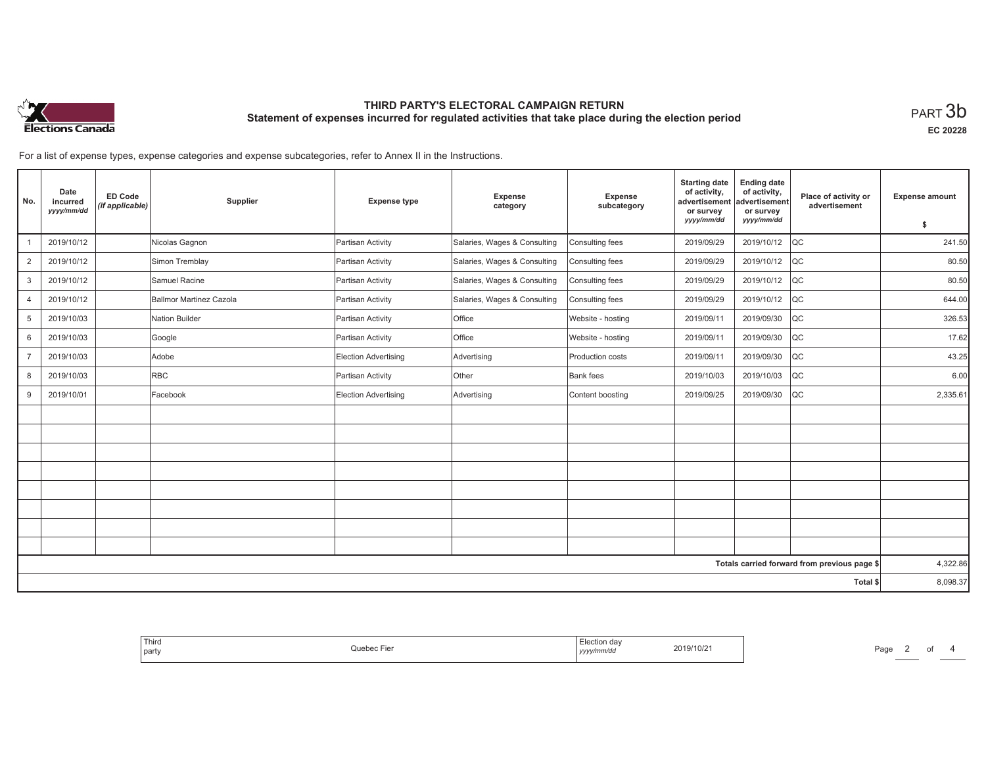

**EC 20228**

For a list of expense types, expense categories and expense subcategories, refer to Annex II in the Instructions.

| No.            | Date<br>incurred<br>yyyy/mm/dd | <b>ED Code</b><br>(if applicable) | Supplier                | <b>Expense type</b>         | Expense<br>category          | Expense<br>subcategory | <b>Starting date</b><br>of activity,<br>advertisement<br>or survey | <b>Ending date</b><br>of activity,<br>advertisement<br>or survey | Place of activity or<br>advertisement        | <b>Expense amount</b> |
|----------------|--------------------------------|-----------------------------------|-------------------------|-----------------------------|------------------------------|------------------------|--------------------------------------------------------------------|------------------------------------------------------------------|----------------------------------------------|-----------------------|
|                |                                |                                   |                         |                             |                              |                        | yyyy/mm/dd                                                         | yyyy/mm/dd                                                       |                                              | \$                    |
|                | 2019/10/12                     |                                   | Nicolas Gagnon          | Partisan Activity           | Salaries, Wages & Consulting | Consulting fees        | 2019/09/29                                                         | 2019/10/12                                                       | $ _{\rm QC}$                                 | 241.50                |
| $\overline{2}$ | 2019/10/12                     |                                   | Simon Tremblay          | Partisan Activity           | Salaries, Wages & Consulting | Consulting fees        | 2019/09/29                                                         | 2019/10/12                                                       | <b>QC</b>                                    | 80.50                 |
| 3              | 2019/10/12                     |                                   | Samuel Racine           | Partisan Activity           | Salaries, Wages & Consulting | Consulting fees        | 2019/09/29                                                         | 2019/10/12                                                       | QC                                           | 80.50                 |
| 4              | 2019/10/12                     |                                   | Ballmor Martinez Cazola | Partisan Activity           | Salaries, Wages & Consulting | Consulting fees        | 2019/09/29                                                         | 2019/10/12                                                       | $ _{\rm QC}$                                 | 644.00                |
| 5              | 2019/10/03                     |                                   | Nation Builder          | Partisan Activity           | <b>Office</b>                | Website - hosting      | 2019/09/11                                                         | 2019/09/30                                                       | <b>QC</b>                                    | 326.53                |
| 6              | 2019/10/03                     |                                   | Google                  | Partisan Activity           | Office                       | Website - hosting      | 2019/09/11                                                         | 2019/09/30                                                       | <b>QC</b>                                    | 17.62                 |
| $\overline{7}$ | 2019/10/03                     |                                   | Adobe                   | <b>Election Advertising</b> | Advertising                  | Production costs       | 2019/09/11                                                         | 2019/09/30                                                       | $ _{\rm QC}$                                 | 43.25                 |
| 8              | 2019/10/03                     |                                   | <b>RBC</b>              | Partisan Activity           | Other                        | <b>Bank</b> fees       | 2019/10/03                                                         | 2019/10/03                                                       | <b>QC</b>                                    | 6.00                  |
| 9              | 2019/10/01                     |                                   | Facebook                | Election Advertising        | Advertising                  | Content boosting       | 2019/09/25                                                         | 2019/09/30                                                       | $ _{\rm QC}$                                 | 2,335.61              |
|                |                                |                                   |                         |                             |                              |                        |                                                                    |                                                                  |                                              |                       |
|                |                                |                                   |                         |                             |                              |                        |                                                                    |                                                                  |                                              |                       |
|                |                                |                                   |                         |                             |                              |                        |                                                                    |                                                                  |                                              |                       |
|                |                                |                                   |                         |                             |                              |                        |                                                                    |                                                                  |                                              |                       |
|                |                                |                                   |                         |                             |                              |                        |                                                                    |                                                                  |                                              |                       |
|                |                                |                                   |                         |                             |                              |                        |                                                                    |                                                                  |                                              |                       |
|                |                                |                                   |                         |                             |                              |                        |                                                                    |                                                                  |                                              |                       |
|                |                                |                                   |                         |                             |                              |                        |                                                                    |                                                                  |                                              |                       |
|                |                                |                                   |                         |                             |                              |                        |                                                                    |                                                                  | Totals carried forward from previous page \$ | 4,322.86              |
|                |                                |                                   |                         |                             |                              |                        |                                                                    |                                                                  | Total \$                                     | 8,098.37              |

| Iection dav<br>2019/10/21<br>Quebec Fier<br>yyyy/mm/dd | Third<br>party |  |
|--------------------------------------------------------|----------------|--|
|--------------------------------------------------------|----------------|--|

Page 2 of 4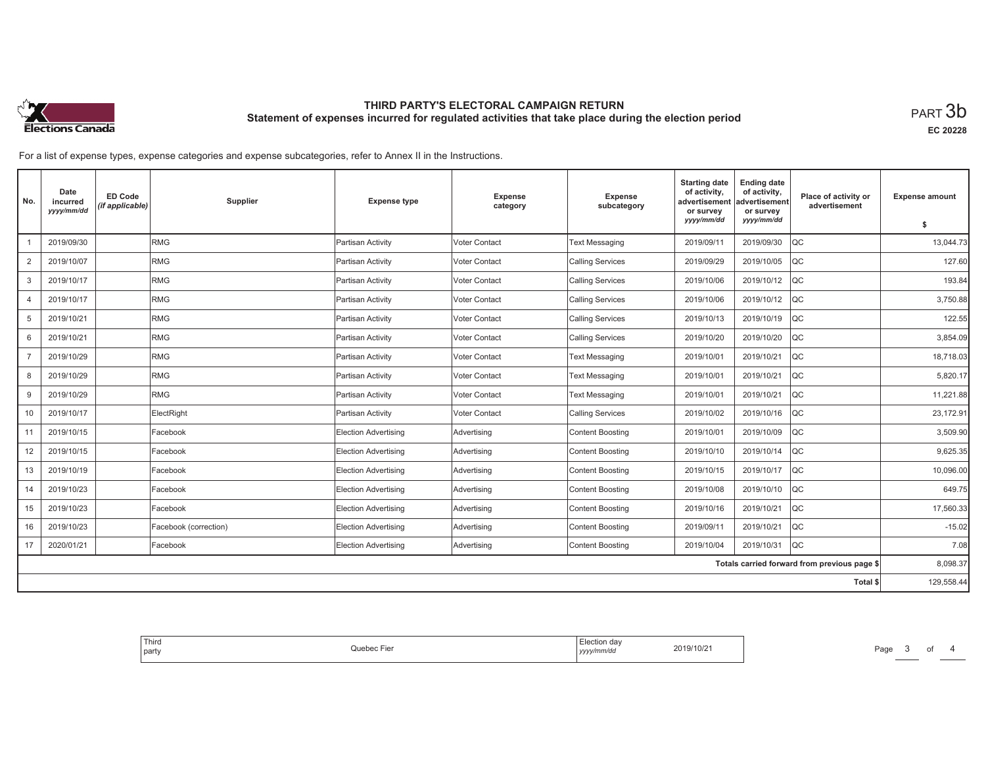

**EC 20228**

For a list of expense types, expense categories and expense subcategories, refer to Annex II in the Instructions.

| No.            | Date<br>incurred<br>yyyy/mm/dd | <b>ED Code</b><br>(if applicable) | Supplier              | <b>Expense type</b>         | <b>Expense</b><br>category | Expense<br>subcategory  | <b>Starting date</b><br>of activity,<br>advertisement<br>or survey | <b>Ending date</b><br>of activity,<br>advertisement<br>or survey | Place of activity or<br>advertisement        | <b>Expense amount</b> |
|----------------|--------------------------------|-----------------------------------|-----------------------|-----------------------------|----------------------------|-------------------------|--------------------------------------------------------------------|------------------------------------------------------------------|----------------------------------------------|-----------------------|
|                |                                |                                   |                       |                             |                            |                         | yyyy/mm/dd                                                         | yyyy/mm/dd                                                       |                                              | s.                    |
|                | 2019/09/30                     |                                   | <b>RMG</b>            | Partisan Activity           | <b>Voter Contact</b>       | <b>Text Messaging</b>   | 2019/09/11                                                         | 2019/09/30                                                       | loc                                          | 13,044.73             |
| $\overline{2}$ | 2019/10/07                     |                                   | RMG                   | Partisan Activity           | Voter Contact              | <b>Calling Services</b> | 2019/09/29                                                         | 2019/10/05                                                       | <b>QC</b>                                    | 127.60                |
| 3              | 2019/10/17                     |                                   | <b>RMG</b>            | Partisan Activity           | Voter Contact              | <b>Calling Services</b> | 2019/10/06                                                         | 2019/10/12                                                       | loc                                          | 193.84                |
| $\overline{4}$ | 2019/10/17                     |                                   | RMG                   | Partisan Activity           | <b>Voter Contact</b>       | <b>Calling Services</b> | 2019/10/06                                                         | 2019/10/12                                                       | <b>QC</b>                                    | 3,750.88              |
| 5              | 2019/10/21                     |                                   | RMG                   | Partisan Activity           | Voter Contact              | <b>Calling Services</b> | 2019/10/13                                                         | 2019/10/19                                                       | <b>QC</b>                                    | 122.55                |
| 6              | 2019/10/21                     |                                   | <b>RMG</b>            | Partisan Activity           | Voter Contact              | <b>Calling Services</b> | 2019/10/20                                                         | 2019/10/20                                                       | lQC                                          | 3,854.09              |
|                | 2019/10/29                     |                                   | RMG                   | Partisan Activity           | <b>Voter Contact</b>       | <b>Text Messaging</b>   | 2019/10/01                                                         | 2019/10/21                                                       | <b>QC</b>                                    | 18,718.03             |
| 8              | 2019/10/29                     |                                   | RMG                   | Partisan Activity           | Voter Contact              | <b>Text Messaging</b>   | 2019/10/01                                                         | 2019/10/21                                                       | <b>QC</b>                                    | 5,820.17              |
| 9              | 2019/10/29                     |                                   | <b>RMG</b>            | Partisan Activity           | Voter Contact              | <b>Text Messaging</b>   | 2019/10/01                                                         | 2019/10/21                                                       | loc                                          | 11.221.88             |
| 10             | 2019/10/17                     |                                   | ElectRight            | Partisan Activity           | Voter Contact              | <b>Calling Services</b> | 2019/10/02                                                         | 2019/10/16                                                       | <b>QC</b>                                    | 23,172.91             |
| 11             | 2019/10/15                     |                                   | Facebook              | Election Advertising        | Advertising                | <b>Content Boosting</b> | 2019/10/01                                                         | 2019/10/09                                                       | <b>QC</b>                                    | 3,509.90              |
| 12             | 2019/10/15                     |                                   | Facebook              | Election Advertising        | Advertising                | <b>Content Boosting</b> | 2019/10/10                                                         | 2019/10/14                                                       | <b>QC</b>                                    | 9,625.35              |
| 13             | 2019/10/19                     |                                   | Facebook              | Election Advertising        | Advertising                | <b>Content Boosting</b> | 2019/10/15                                                         | 2019/10/17                                                       | <b>QC</b>                                    | 10,096.00             |
| 14             | 2019/10/23                     |                                   | Facebook              | Election Advertising        | Advertising                | <b>Content Boosting</b> | 2019/10/08                                                         | 2019/10/10                                                       | <b>QC</b>                                    | 649.75                |
| 15             | 2019/10/23                     |                                   | Facebook              | Election Advertising        | Advertising                | <b>Content Boosting</b> | 2019/10/16                                                         | 2019/10/21                                                       | <b>QC</b>                                    | 17,560.33             |
| 16             | 2019/10/23                     |                                   | Facebook (correction) | <b>Election Advertising</b> | Advertising                | <b>Content Boosting</b> | 2019/09/11                                                         | 2019/10/21                                                       | loc                                          | $-15.02$              |
| 17             | 2020/01/21                     |                                   | Facebook              | Election Advertising        | Advertising                | <b>Content Boosting</b> | 2019/10/04                                                         | 2019/10/31                                                       | loc                                          | 7.08                  |
|                |                                |                                   |                       |                             |                            |                         |                                                                    |                                                                  | Totals carried forward from previous page \$ | 8,098.37              |
|                |                                |                                   |                       |                             |                            |                         |                                                                    |                                                                  | Total \$                                     | 129,558.44            |

| 2019/10/21<br>Juebec Fier<br>√mm/da<br>party<br>,,,, |
|------------------------------------------------------|
|------------------------------------------------------|

Page 3 of 4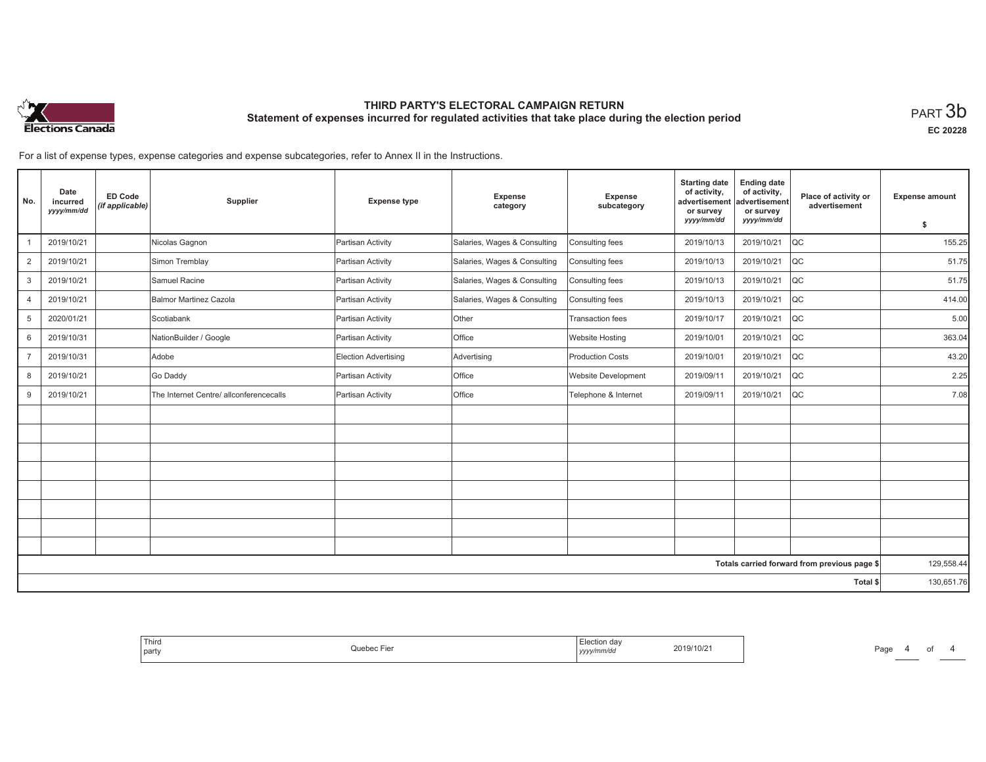

**EC 20228**

For a list of expense types, expense categories and expense subcategories, refer to Annex II in the Instructions.

| No.            | Date<br>incurred<br>yyyy/mm/dd | <b>ED Code</b><br>(if applicable) | Supplier                                | <b>Expense type</b>  | <b>Expense</b><br>category   | Expense<br>subcategory     | <b>Starting date</b><br>of activity,<br>advertisement<br>or survey | <b>Ending date</b><br>of activity,<br>advertisement<br>or survey | Place of activity or<br>advertisement        | <b>Expense amount</b> |
|----------------|--------------------------------|-----------------------------------|-----------------------------------------|----------------------|------------------------------|----------------------------|--------------------------------------------------------------------|------------------------------------------------------------------|----------------------------------------------|-----------------------|
|                |                                |                                   |                                         |                      |                              |                            | yyyy/mm/dd                                                         | yyyy/mm/dd                                                       |                                              | \$                    |
|                | 2019/10/21                     |                                   | Nicolas Gagnon                          | Partisan Activity    | Salaries, Wages & Consulting | Consulting fees            | 2019/10/13                                                         | 2019/10/21                                                       | $_{\rm QC}$                                  | 155.25                |
| $\overline{2}$ | 2019/10/21                     |                                   | Simon Tremblay                          | Partisan Activity    | Salaries, Wages & Consulting | Consulting fees            | 2019/10/13                                                         | 2019/10/21                                                       | QC                                           | 51.75                 |
| 3              | 2019/10/21                     |                                   | Samuel Racine                           | Partisan Activity    | Salaries, Wages & Consulting | Consulting fees            | 2019/10/13                                                         | 2019/10/21                                                       | QC                                           | 51.75                 |
| $\overline{4}$ | 2019/10/21                     |                                   | Balmor Martinez Cazola                  | Partisan Activity    | Salaries, Wages & Consulting | Consulting fees            | 2019/10/13                                                         | 2019/10/21                                                       | QC                                           | 414.00                |
| 5              | 2020/01/21                     |                                   | Scotiabank                              | Partisan Activity    | Other                        | Transaction fees           | 2019/10/17                                                         | 2019/10/21                                                       | QC                                           | 5.00                  |
| 6              | 2019/10/31                     |                                   | NationBuilder / Google                  | Partisan Activity    | Office                       | <b>Website Hosting</b>     | 2019/10/01                                                         | 2019/10/21                                                       | QC                                           | 363.04                |
| $\overline{7}$ | 2019/10/31                     |                                   | Adobe                                   | Election Advertising | Advertising                  | <b>Production Costs</b>    | 2019/10/01                                                         | 2019/10/21                                                       | QC                                           | 43.20                 |
| 8              | 2019/10/21                     |                                   | Go Daddy                                | Partisan Activity    | Office                       | <b>Website Development</b> | 2019/09/11                                                         | 2019/10/21                                                       | QC                                           | 2.25                  |
| 9              | 2019/10/21                     |                                   | The Internet Centre/ allconferencecalls | Partisan Activity    | Office                       | Telephone & Internet       | 2019/09/11                                                         | 2019/10/21                                                       | QC                                           | 7.08                  |
|                |                                |                                   |                                         |                      |                              |                            |                                                                    |                                                                  |                                              |                       |
|                |                                |                                   |                                         |                      |                              |                            |                                                                    |                                                                  |                                              |                       |
|                |                                |                                   |                                         |                      |                              |                            |                                                                    |                                                                  |                                              |                       |
|                |                                |                                   |                                         |                      |                              |                            |                                                                    |                                                                  |                                              |                       |
|                |                                |                                   |                                         |                      |                              |                            |                                                                    |                                                                  |                                              |                       |
|                |                                |                                   |                                         |                      |                              |                            |                                                                    |                                                                  |                                              |                       |
|                |                                |                                   |                                         |                      |                              |                            |                                                                    |                                                                  |                                              |                       |
|                |                                |                                   |                                         |                      |                              |                            |                                                                    |                                                                  |                                              |                       |
|                |                                |                                   |                                         |                      |                              |                            |                                                                    |                                                                  | Totals carried forward from previous page \$ | 129,558.44            |
|                |                                |                                   |                                         |                      |                              |                            |                                                                    |                                                                  | Total \$                                     | 130,651.76            |

| Flection dav<br>2019/10/21<br>Quebec Fier<br>.<br>yyyy/mm/dd<br>. | ' Third<br>party |
|-------------------------------------------------------------------|------------------|
|-------------------------------------------------------------------|------------------|